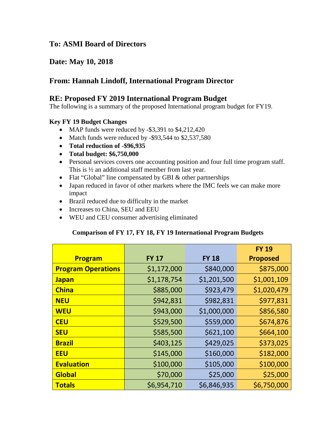# **To: ASMI Board of Directors**

# **Date: May 10, 2018**

# **From: Hannah Lindoff, International Program Director**

## **RE: Proposed FY 2019 International Program Budget**

The following is a summary of the proposed International program budget for FY19.

### **Key FY 19 Budget Changes**

- MAP funds were reduced by -\$3,391 to \$4,212,420
- Match funds were reduced by -\$93,544 to \$2,537,580
- **Total reduction of -\$96,935**
- **Total budget: \$6,750,000**
- Personal services covers one accounting position and four full time program staff. This is ½ an additional staff member from last year.
- Flat "Global" line compensated by GBI & other partnerships
- Japan reduced in favor of other markets where the IMC feels we can make more impact
- Brazil reduced due to difficulty in the market
- Increases to China, SEU and EEU
- WEU and CEU consumer advertising eliminated

### **Comparison of FY 17, FY 18, FY 19 International Program Budgets**

|                           |              |              | <b>FY 19</b>    |
|---------------------------|--------------|--------------|-----------------|
| Program                   | <b>FY 17</b> | <b>FY 18</b> | <b>Proposed</b> |
| <b>Program Operations</b> | \$1,172,000  | \$840,000    | \$875,000       |
| <b>Japan</b>              | \$1,178,754  | \$1,201,500  | \$1,001,109     |
| <b>China</b>              | \$885,000    | \$923,479    | \$1,020,479     |
| <b>NEU</b>                | \$942,831    | \$982,831    | \$977,831       |
| <b>WEU</b>                | \$943,000    | \$1,000,000  | \$856,580       |
| <b>CEU</b>                | \$529,500    | \$559,000    | \$674,876       |
| <b>SEU</b>                | \$585,500    | \$621,100    | \$664,100       |
| <b>Brazil</b>             | \$403,125    | \$429,025    | \$373,025       |
| <b>EEU</b>                | \$145,000    | \$160,000    | \$182,000       |
| <b>Evaluation</b>         | \$100,000    | \$105,000    | \$100,000       |
| <b>Global</b>             | \$70,000     | \$25,000     | \$25,000        |
| <b>Totals</b>             | \$6,954,710  | \$6,846,935  | \$6,750,000     |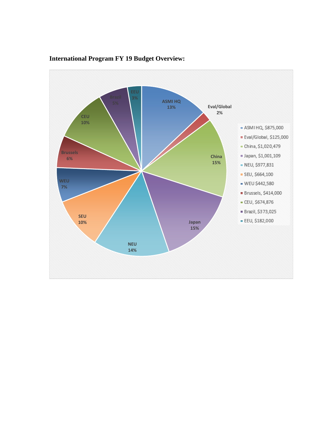

## **International Program FY 19 Budget Overview:**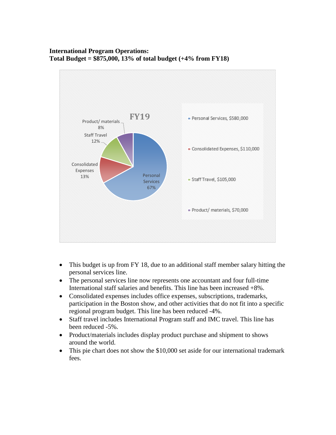## **International Program Operations: Total Budget = \$875,000, 13% of total budget (+4% from FY18)**



- This budget is up from FY 18, due to an additional staff member salary hitting the personal services line.
- The personal services line now represents one accountant and four full-time International staff salaries and benefits. This line has been increased +8%.
- Consolidated expenses includes office expenses, subscriptions, trademarks, participation in the Boston show, and other activities that do not fit into a specific regional program budget. This line has been reduced -4%.
- Staff travel includes International Program staff and IMC travel. This line has been reduced -5%.
- Product/materials includes display product purchase and shipment to shows around the world.
- This pie chart does not show the \$10,000 set aside for our international trademark fees.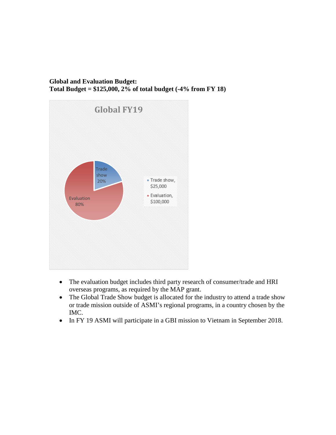### **Global and Evaluation Budget: Total Budget = \$125,000, 2% of total budget (-4% from FY 18)**



- The evaluation budget includes third party research of consumer/trade and HRI overseas programs, as required by the MAP grant.
- The Global Trade Show budget is allocated for the industry to attend a trade show or trade mission outside of ASMI's regional programs, in a country chosen by the IMC.
- In FY 19 ASMI will participate in a GBI mission to Vietnam in September 2018.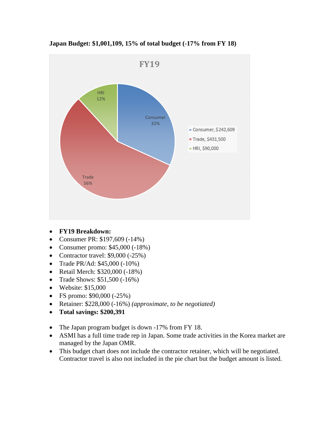

**Japan Budget: \$1,001,109, 15% of total budget (-17% from FY 18)**

- **FY19 Breakdown:**
- Consumer PR: \$197,609 (-14%)
- Consumer promo: \$45,000 (-18%)
- Contractor travel:  $$9,000 (-25%)$
- Trade PR/Ad: \$45,000 (-10%)
- Retail Merch: \$320,000 (-18%)
- Trade Shows: \$51,500 (-16%)
- Website: \$15,000
- FS promo: \$90,000 (-25%)
- Retainer: \$228,000 (-16%) *(approximate, to be negotiated)*
- **Total savings: \$200,391**
- The Japan program budget is down -17% from FY 18.
- ASMI has a full time trade rep in Japan. Some trade activities in the Korea market are managed by the Japan OMR.
- This budget chart does not include the contractor retainer, which will be negotiated. Contractor travel is also not included in the pie chart but the budget amount is listed.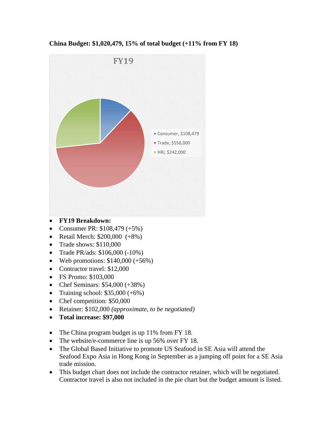

**China Budget: \$1,020,479, 15% of total budget (+11% from FY 18)**

- **FY19 Breakdown:**
- Consumer PR:  $$108,479 (+5%)$
- Retail Merch: \$200,000 (+8%)
- Trade shows: \$110,000
- Trade PR/ads: \$106,000 (-10%)
- Web promotions:  $$140,000 (+56%)$
- Contractor travel: \$12,000
- FS Promo: \$103,000
- Chef Seminars: \$54,000 (+38%)
- Training school:  $$35,000 (+6%)$
- Chef competition: \$50,000
- Retainer: \$102,000 *(approximate, to be negotiated)*
- **Total increase: \$97,000**
- The China program budget is up 11% from FY 18.
- The website/e-commerce line is up 56% over FY 18.
- The Global Based Initiative to promote US Seafood in SE Asia will attend the Seafood Expo Asia in Hong Kong in September as a jumping off point for a SE Asia trade mission.
- This budget chart does not include the contractor retainer, which will be negotiated. Contractor travel is also not included in the pie chart but the budget amount is listed.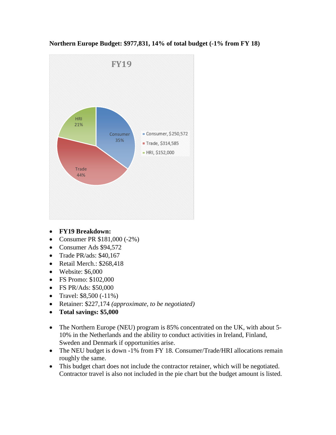

**Northern Europe Budget: \$977,831, 14% of total budget (-1% from FY 18)**

- **FY19 Breakdown:**
- Consumer PR \$181,000 (-2%)
- Consumer Ads \$94,572
- Trade PR/ads: \$40,167
- Retail Merch.: \$268,418
- Website: \$6,000
- FS Promo: \$102,000
- FS PR/Ads: \$50,000
- Travel:  $$8,500 (-11\%)$
- Retainer: \$227,174 *(approximate, to be negotiated)*
- **Total savings: \$5,000**
- The Northern Europe (NEU) program is 85% concentrated on the UK, with about 5-10% in the Netherlands and the ability to conduct activities in Ireland, Finland, Sweden and Denmark if opportunities arise.
- The NEU budget is down -1% from FY 18. Consumer/Trade/HRI allocations remain roughly the same.
- This budget chart does not include the contractor retainer, which will be negotiated. Contractor travel is also not included in the pie chart but the budget amount is listed.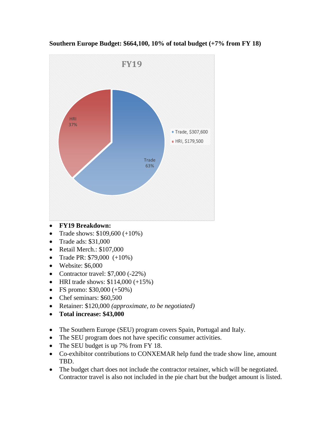

**Southern Europe Budget: \$664,100, 10% of total budget (+7% from FY 18)**

- **FY19 Breakdown:**
- Trade shows:  $$109,600 (+10\%)$
- Trade ads: \$31,000
- Retail Merch.: \$107,000
- Trade PR:  $$79,000 (+10\%)$
- Website: \$6,000
- Contractor travel:  $$7,000 (-22%)$
- HRI trade shows:  $$114,000 (+15%)$
- FS promo:  $$30,000 (+50%)$
- Chef seminars: \$60,500
- Retainer: \$120,000 *(approximate, to be negotiated)*
- **Total increase: \$43,000**
- The Southern Europe (SEU) program covers Spain, Portugal and Italy.
- The SEU program does not have specific consumer activities.
- The SEU budget is up 7% from FY 18.
- Co-exhibitor contributions to CONXEMAR help fund the trade show line, amount TBD.
- The budget chart does not include the contractor retainer, which will be negotiated. Contractor travel is also not included in the pie chart but the budget amount is listed.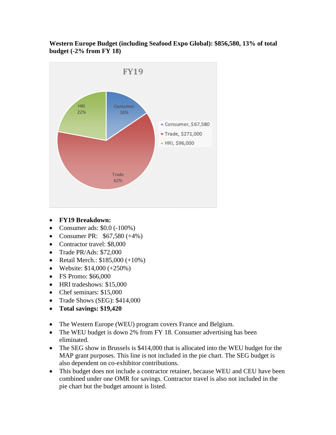**Western Europe Budget (including Seafood Expo Global): \$856,580, 13% of total budget (-2% from FY 18)**



- **FY19 Breakdown:**
- Consumer ads:  $$0.0 (-100\%)$
- Consumer PR:  $$67,580 (+4%)$
- Contractor travel: \$8,000
- Trade PR/Ads: \$72,000
- Retail Merch.: \$185,000 (+10%)
- Website:  $$14,000 (+250%)$
- FS Promo: \$66,000
- HRI tradeshows: \$15,000
- Chef seminars: \$15,000
- Trade Shows (SEG): \$414,000
- **Total savings: \$19,420**
- The Western Europe (WEU) program covers France and Belgium.
- The WEU budget is down 2% from FY 18. Consumer advertising has been eliminated.
- The SEG show in Brussels is \$414,000 that is allocated into the WEU budget for the MAP grant purposes. This line is not included in the pie chart. The SEG budget is also dependent on co-exhibitor contributions.
- This budget does not include a contractor retainer, because WEU and CEU have been combined under one OMR for savings. Contractor travel is also not included in the pie chart but the budget amount is listed.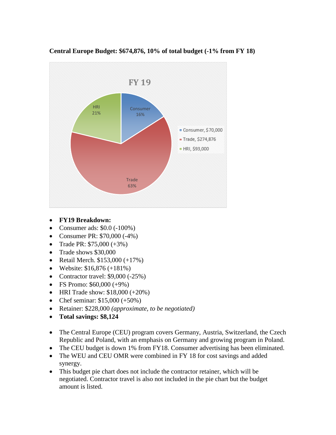

### **Central Europe Budget: \$674,876, 10% of total budget (-1% from FY 18)**

- **FY19 Breakdown:**
- Consumer ads:  $$0.0 (-100\%)$
- Consumer PR: \$70,000 (-4%)
- Trade PR:  $$75,000 (+3%)$
- Trade shows \$30,000
- Retail Merch. \$153,000 (+17%)
- Website:  $$16,876 (+181%)$
- Contractor travel:  $$9,000 (-25%)$
- FS Promo: \$60,000 (+9%)
- HRI Trade show:  $$18,000 (+20%)$
- Chef seminar:  $$15,000 (+50%)$
- Retainer: \$228,000 *(approximate, to be negotiated)*
- **Total savings: \$8,124**
- The Central Europe (CEU) program covers Germany, Austria, Switzerland, the Czech Republic and Poland, with an emphasis on Germany and growing program in Poland.
- The CEU budget is down 1% from FY18. Consumer advertising has been eliminated.
- The WEU and CEU OMR were combined in FY 18 for cost savings and added synergy.
- This budget pie chart does not include the contractor retainer, which will be negotiated. Contractor travel is also not included in the pie chart but the budget amount is listed.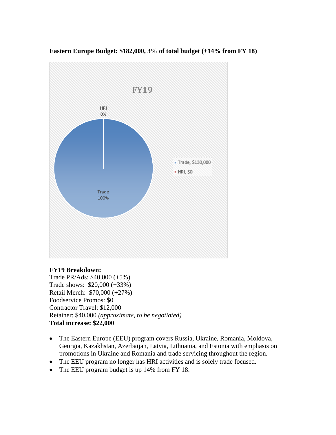

#### **Eastern Europe Budget: \$182,000, 3% of total budget (+14% from FY 18)**

#### **FY19 Breakdown:**

Trade PR/Ads: \$40,000 (+5%) Trade shows: \$20,000 (+33%) Retail Merch: \$70,000 (+27%) Foodservice Promos: \$0 Contractor Travel: \$12,000 Retainer: \$40,000 *(approximate, to be negotiated)* **Total increase: \$22,000**

- The Eastern Europe (EEU) program covers Russia, Ukraine, Romania, Moldova, Georgia, Kazakhstan, Azerbaijan, Latvia, Lithuania, and Estonia with emphasis on promotions in Ukraine and Romania and trade servicing throughout the region.
- The EEU program no longer has HRI activities and is solely trade focused.
- The EEU program budget is up 14% from FY 18.